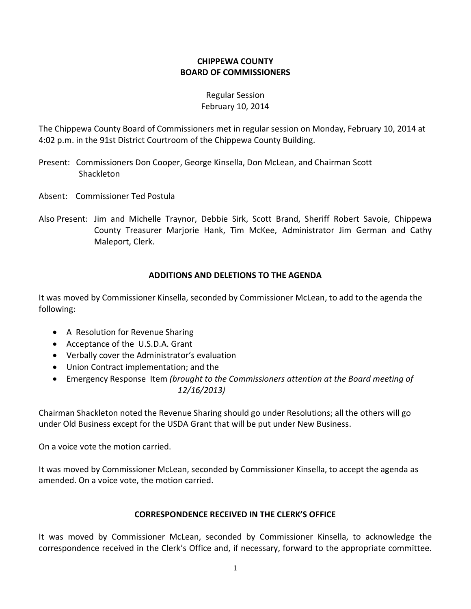## **CHIPPEWA COUNTY BOARD OF COMMISSIONERS**

### Regular Session February 10, 2014

The Chippewa County Board of Commissioners met in regular session on Monday, February 10, 2014 at 4:02 p.m. in the 91st District Courtroom of the Chippewa County Building.

- Present: Commissioners Don Cooper, George Kinsella, Don McLean, and Chairman Scott Shackleton
- Absent: Commissioner Ted Postula
- Also Present: Jim and Michelle Traynor, Debbie Sirk, Scott Brand, Sheriff Robert Savoie, Chippewa County Treasurer Marjorie Hank, Tim McKee, Administrator Jim German and Cathy Maleport, Clerk.

### **ADDITIONS AND DELETIONS TO THE AGENDA**

It was moved by Commissioner Kinsella, seconded by Commissioner McLean, to add to the agenda the following:

- A Resolution for Revenue Sharing
- · Acceptance of the U.S.D.A. Grant
- · Verbally cover the Administrator's evaluation
- · Union Contract implementation; and the
- · Emergency Response Item *(brought to the Commissioners attention at the Board meeting of 12/16/2013)*

Chairman Shackleton noted the Revenue Sharing should go under Resolutions; all the others will go under Old Business except for the USDA Grant that will be put under New Business.

On a voice vote the motion carried.

It was moved by Commissioner McLean, seconded by Commissioner Kinsella, to accept the agenda as amended. On a voice vote, the motion carried.

#### **CORRESPONDENCE RECEIVED IN THE CLERK'S OFFICE**

It was moved by Commissioner McLean, seconded by Commissioner Kinsella, to acknowledge the correspondence received in the Clerk's Office and, if necessary, forward to the appropriate committee.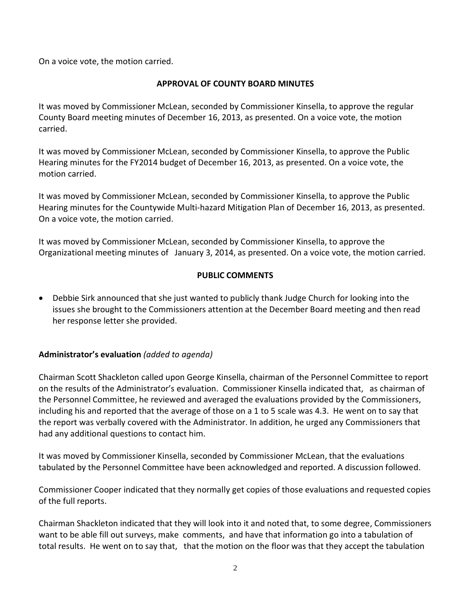On a voice vote, the motion carried.

## **APPROVAL OF COUNTY BOARD MINUTES**

It was moved by Commissioner McLean, seconded by Commissioner Kinsella, to approve the regular County Board meeting minutes of December 16, 2013, as presented. On a voice vote, the motion carried.

It was moved by Commissioner McLean, seconded by Commissioner Kinsella, to approve the Public Hearing minutes for the FY2014 budget of December 16, 2013, as presented. On a voice vote, the motion carried.

It was moved by Commissioner McLean, seconded by Commissioner Kinsella, to approve the Public Hearing minutes for the Countywide Multi-hazard Mitigation Plan of December 16, 2013, as presented. On a voice vote, the motion carried.

It was moved by Commissioner McLean, seconded by Commissioner Kinsella, to approve the Organizational meeting minutes of January 3, 2014, as presented. On a voice vote, the motion carried.

### **PUBLIC COMMENTS**

· Debbie Sirk announced that she just wanted to publicly thank Judge Church for looking into the issues she brought to the Commissioners attention at the December Board meeting and then read her response letter she provided.

## **Administrator's evaluation** *(added to agenda)*

Chairman Scott Shackleton called upon George Kinsella, chairman of the Personnel Committee to report on the results of the Administrator's evaluation. Commissioner Kinsella indicated that, as chairman of the Personnel Committee, he reviewed and averaged the evaluations provided by the Commissioners, including his and reported that the average of those on a 1 to 5 scale was 4.3. He went on to say that the report was verbally covered with the Administrator. In addition, he urged any Commissioners that had any additional questions to contact him.

It was moved by Commissioner Kinsella, seconded by Commissioner McLean, that the evaluations tabulated by the Personnel Committee have been acknowledged and reported. A discussion followed.

Commissioner Cooper indicated that they normally get copies of those evaluations and requested copies of the full reports.

Chairman Shackleton indicated that they will look into it and noted that, to some degree, Commissioners want to be able fill out surveys, make comments, and have that information go into a tabulation of total results. He went on to say that, that the motion on the floor was that they accept the tabulation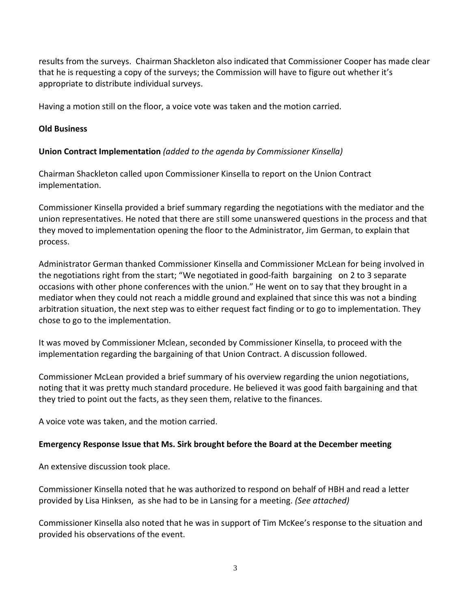results from the surveys. Chairman Shackleton also indicated that Commissioner Cooper has made clear that he is requesting a copy of the surveys; the Commission will have to figure out whether it's appropriate to distribute individual surveys.

Having a motion still on the floor, a voice vote was taken and the motion carried.

### **Old Business**

### **Union Contract Implementation** *(added to the agenda by Commissioner Kinsella)*

Chairman Shackleton called upon Commissioner Kinsella to report on the Union Contract implementation.

Commissioner Kinsella provided a brief summary regarding the negotiations with the mediator and the union representatives. He noted that there are still some unanswered questions in the process and that they moved to implementation opening the floor to the Administrator, Jim German, to explain that process.

Administrator German thanked Commissioner Kinsella and Commissioner McLean for being involved in the negotiations right from the start; "We negotiated in good-faith bargaining on 2 to 3 separate occasions with other phone conferences with the union." He went on to say that they brought in a mediator when they could not reach a middle ground and explained that since this was not a binding arbitration situation, the next step was to either request fact finding or to go to implementation. They chose to go to the implementation.

It was moved by Commissioner Mclean, seconded by Commissioner Kinsella, to proceed with the implementation regarding the bargaining of that Union Contract. A discussion followed.

Commissioner McLean provided a brief summary of his overview regarding the union negotiations, noting that it was pretty much standard procedure. He believed it was good faith bargaining and that they tried to point out the facts, as they seen them, relative to the finances.

A voice vote was taken, and the motion carried.

#### **Emergency Response Issue that Ms. Sirk brought before the Board at the December meeting**

An extensive discussion took place.

Commissioner Kinsella noted that he was authorized to respond on behalf of HBH and read a letter provided by Lisa Hinksen, as she had to be in Lansing for a meeting. *(See attached)*

Commissioner Kinsella also noted that he was in support of Tim McKee's response to the situation and provided his observations of the event.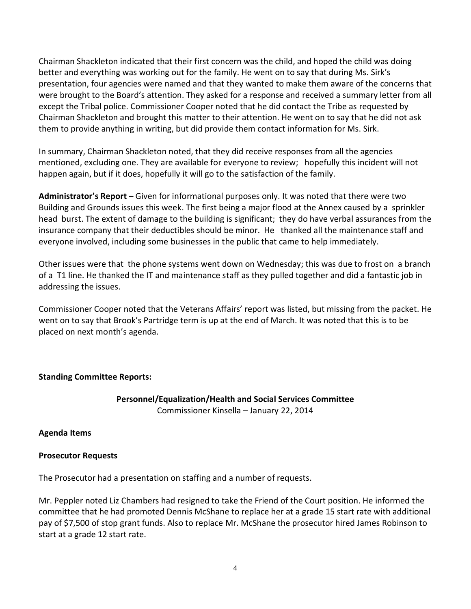Chairman Shackleton indicated that their first concern was the child, and hoped the child was doing better and everything was working out for the family. He went on to say that during Ms. Sirk's presentation, four agencies were named and that they wanted to make them aware of the concerns that were brought to the Board's attention. They asked for a response and received a summary letter from all except the Tribal police. Commissioner Cooper noted that he did contact the Tribe as requested by Chairman Shackleton and brought this matter to their attention. He went on to say that he did not ask them to provide anything in writing, but did provide them contact information for Ms. Sirk.

In summary, Chairman Shackleton noted, that they did receive responses from all the agencies mentioned, excluding one. They are available for everyone to review; hopefully this incident will not happen again, but if it does, hopefully it will go to the satisfaction of the family.

**Administrator's Report –** Given for informational purposes only. It was noted that there were two Building and Grounds issues this week. The first being a major flood at the Annex caused by a sprinkler head burst. The extent of damage to the building is significant; they do have verbal assurances from the insurance company that their deductibles should be minor. He thanked all the maintenance staff and everyone involved, including some businesses in the public that came to help immediately.

Other issues were that the phone systems went down on Wednesday; this was due to frost on a branch of a T1 line. He thanked the IT and maintenance staff as they pulled together and did a fantastic job in addressing the issues.

Commissioner Cooper noted that the Veterans Affairs' report was listed, but missing from the packet. He went on to say that Brook's Partridge term is up at the end of March. It was noted that this is to be placed on next month's agenda.

## **Standing Committee Reports:**

## **Personnel/Equalization/Health and Social Services Committee** Commissioner Kinsella – January 22, 2014

## **Agenda Items**

## **Prosecutor Requests**

The Prosecutor had a presentation on staffing and a number of requests.

Mr. Peppler noted Liz Chambers had resigned to take the Friend of the Court position. He informed the committee that he had promoted Dennis McShane to replace her at a grade 15 start rate with additional pay of \$7,500 of stop grant funds. Also to replace Mr. McShane the prosecutor hired James Robinson to start at a grade 12 start rate.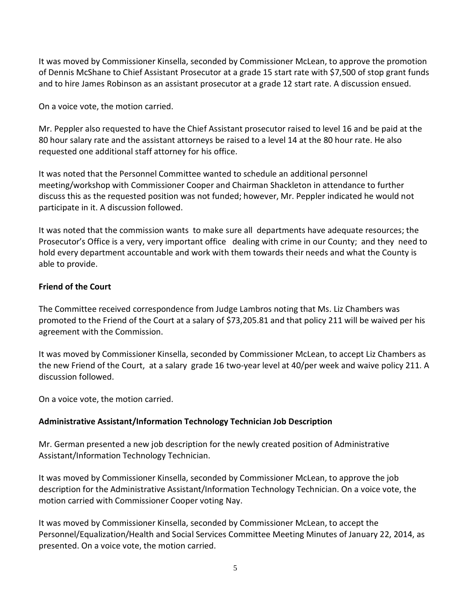It was moved by Commissioner Kinsella, seconded by Commissioner McLean, to approve the promotion of Dennis McShane to Chief Assistant Prosecutor at a grade 15 start rate with \$7,500 of stop grant funds and to hire James Robinson as an assistant prosecutor at a grade 12 start rate. A discussion ensued.

On a voice vote, the motion carried.

Mr. Peppler also requested to have the Chief Assistant prosecutor raised to level 16 and be paid at the 80 hour salary rate and the assistant attorneys be raised to a level 14 at the 80 hour rate. He also requested one additional staff attorney for his office.

It was noted that the Personnel Committee wanted to schedule an additional personnel meeting/workshop with Commissioner Cooper and Chairman Shackleton in attendance to further discuss this as the requested position was not funded; however, Mr. Peppler indicated he would not participate in it. A discussion followed.

It was noted that the commission wants to make sure all departments have adequate resources; the Prosecutor's Office is a very, very important office dealing with crime in our County; and they need to hold every department accountable and work with them towards their needs and what the County is able to provide.

### **Friend of the Court**

The Committee received correspondence from Judge Lambros noting that Ms. Liz Chambers was promoted to the Friend of the Court at a salary of \$73,205.81 and that policy 211 will be waived per his agreement with the Commission.

It was moved by Commissioner Kinsella, seconded by Commissioner McLean, to accept Liz Chambers as the new Friend of the Court, at a salary grade 16 two-year level at 40/per week and waive policy 211. A discussion followed.

On a voice vote, the motion carried.

## **Administrative Assistant/Information Technology Technician Job Description**

Mr. German presented a new job description for the newly created position of Administrative Assistant/Information Technology Technician.

It was moved by Commissioner Kinsella, seconded by Commissioner McLean, to approve the job description for the Administrative Assistant/Information Technology Technician. On a voice vote, the motion carried with Commissioner Cooper voting Nay.

It was moved by Commissioner Kinsella, seconded by Commissioner McLean, to accept the Personnel/Equalization/Health and Social Services Committee Meeting Minutes of January 22, 2014, as presented. On a voice vote, the motion carried.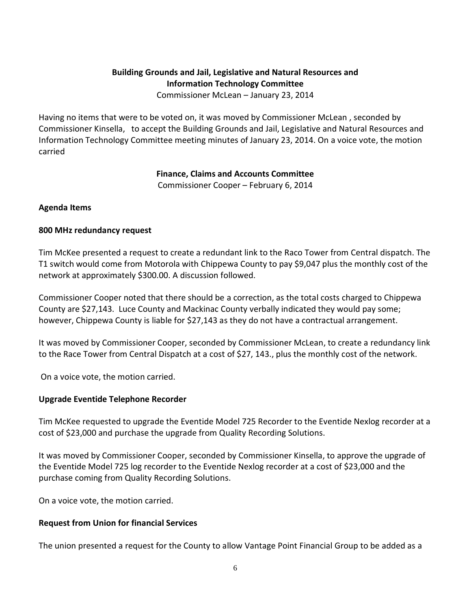## **Building Grounds and Jail, Legislative and Natural Resources and Information Technology Committee**

Commissioner McLean – January 23, 2014

Having no items that were to be voted on, it was moved by Commissioner McLean , seconded by Commissioner Kinsella, to accept the Building Grounds and Jail, Legislative and Natural Resources and Information Technology Committee meeting minutes of January 23, 2014. On a voice vote, the motion carried

**Finance, Claims and Accounts Committee** 

Commissioner Cooper – February 6, 2014

### **Agenda Items**

### **800 MHz redundancy request**

Tim McKee presented a request to create a redundant link to the Raco Tower from Central dispatch. The T1 switch would come from Motorola with Chippewa County to pay \$9,047 plus the monthly cost of the network at approximately \$300.00. A discussion followed.

Commissioner Cooper noted that there should be a correction, as the total costs charged to Chippewa County are \$27,143. Luce County and Mackinac County verbally indicated they would pay some; however, Chippewa County is liable for \$27,143 as they do not have a contractual arrangement.

It was moved by Commissioner Cooper, seconded by Commissioner McLean, to create a redundancy link to the Race Tower from Central Dispatch at a cost of \$27, 143., plus the monthly cost of the network.

On a voice vote, the motion carried.

## **Upgrade Eventide Telephone Recorder**

Tim McKee requested to upgrade the Eventide Model 725 Recorder to the Eventide Nexlog recorder at a cost of \$23,000 and purchase the upgrade from Quality Recording Solutions.

It was moved by Commissioner Cooper, seconded by Commissioner Kinsella, to approve the upgrade of the Eventide Model 725 log recorder to the Eventide Nexlog recorder at a cost of \$23,000 and the purchase coming from Quality Recording Solutions.

On a voice vote, the motion carried.

## **Request from Union for financial Services**

The union presented a request for the County to allow Vantage Point Financial Group to be added as a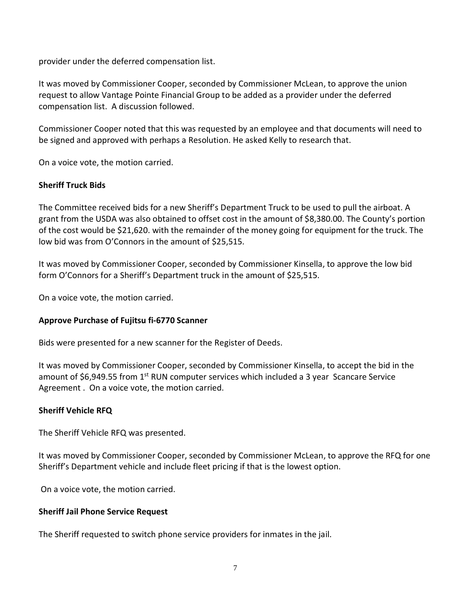provider under the deferred compensation list.

It was moved by Commissioner Cooper, seconded by Commissioner McLean, to approve the union request to allow Vantage Pointe Financial Group to be added as a provider under the deferred compensation list. A discussion followed.

Commissioner Cooper noted that this was requested by an employee and that documents will need to be signed and approved with perhaps a Resolution. He asked Kelly to research that.

On a voice vote, the motion carried.

### **Sheriff Truck Bids**

The Committee received bids for a new Sheriff's Department Truck to be used to pull the airboat. A grant from the USDA was also obtained to offset cost in the amount of \$8,380.00. The County's portion of the cost would be \$21,620. with the remainder of the money going for equipment for the truck. The low bid was from O'Connors in the amount of \$25,515.

It was moved by Commissioner Cooper, seconded by Commissioner Kinsella, to approve the low bid form O'Connors for a Sheriff's Department truck in the amount of \$25,515.

On a voice vote, the motion carried.

## **Approve Purchase of Fujitsu fi-6770 Scanner**

Bids were presented for a new scanner for the Register of Deeds.

It was moved by Commissioner Cooper, seconded by Commissioner Kinsella, to accept the bid in the amount of \$6,949.55 from 1<sup>st</sup> RUN computer services which included a 3 year Scancare Service Agreement . On a voice vote, the motion carried.

#### **Sheriff Vehicle RFQ**

The Sheriff Vehicle RFQ was presented.

It was moved by Commissioner Cooper, seconded by Commissioner McLean, to approve the RFQ for one Sheriff's Department vehicle and include fleet pricing if that is the lowest option.

On a voice vote, the motion carried.

#### **Sheriff Jail Phone Service Request**

The Sheriff requested to switch phone service providers for inmates in the jail.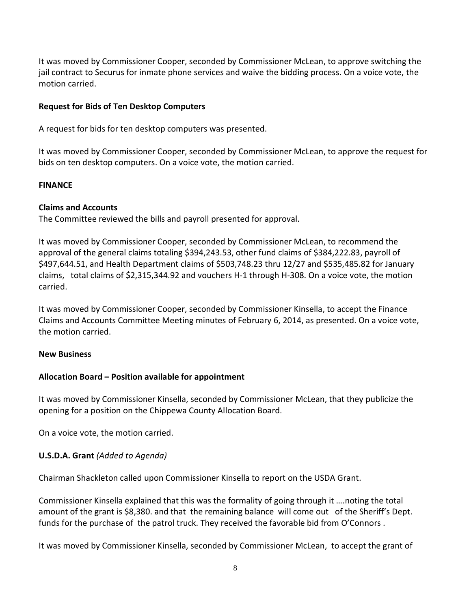It was moved by Commissioner Cooper, seconded by Commissioner McLean, to approve switching the jail contract to Securus for inmate phone services and waive the bidding process. On a voice vote, the motion carried.

### **Request for Bids of Ten Desktop Computers**

A request for bids for ten desktop computers was presented.

It was moved by Commissioner Cooper, seconded by Commissioner McLean, to approve the request for bids on ten desktop computers. On a voice vote, the motion carried.

### **FINANCE**

### **Claims and Accounts**

The Committee reviewed the bills and payroll presented for approval.

It was moved by Commissioner Cooper, seconded by Commissioner McLean, to recommend the approval of the general claims totaling \$394,243.53, other fund claims of \$384,222.83, payroll of \$497,644.51, and Health Department claims of \$503,748.23 thru 12/27 and \$535,485.82 for January claims, total claims of \$2,315,344.92 and vouchers H-1 through H-308. On a voice vote, the motion carried.

It was moved by Commissioner Cooper, seconded by Commissioner Kinsella, to accept the Finance Claims and Accounts Committee Meeting minutes of February 6, 2014, as presented. On a voice vote, the motion carried.

#### **New Business**

## **Allocation Board – Position available for appointment**

It was moved by Commissioner Kinsella, seconded by Commissioner McLean, that they publicize the opening for a position on the Chippewa County Allocation Board.

On a voice vote, the motion carried.

## **U.S.D.A. Grant** *(Added to Agenda)*

Chairman Shackleton called upon Commissioner Kinsella to report on the USDA Grant.

Commissioner Kinsella explained that this was the formality of going through it ….noting the total amount of the grant is \$8,380. and that the remaining balance will come out of the Sheriff's Dept. funds for the purchase of the patrol truck. They received the favorable bid from O'Connors .

It was moved by Commissioner Kinsella, seconded by Commissioner McLean, to accept the grant of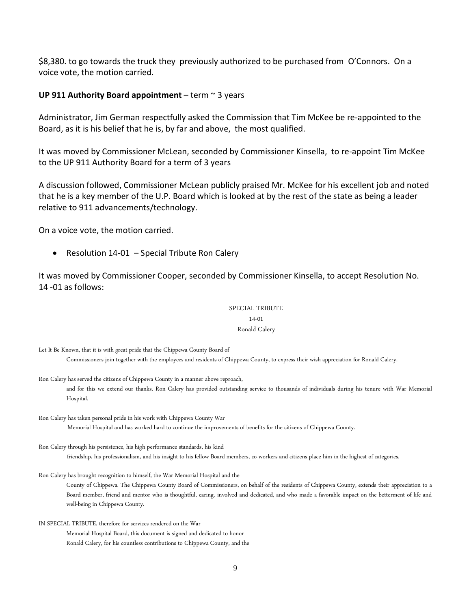\$8,380. to go towards the truck they previously authorized to be purchased from O'Connors. On a voice vote, the motion carried.

#### **UP 911 Authority Board appointment** – term ~ 3 years

Administrator, Jim German respectfully asked the Commission that Tim McKee be re-appointed to the Board, as it is his belief that he is, by far and above, the most qualified.

It was moved by Commissioner McLean, seconded by Commissioner Kinsella, to re-appoint Tim McKee to the UP 911 Authority Board for a term of 3 years

A discussion followed, Commissioner McLean publicly praised Mr. McKee for his excellent job and noted that he is a key member of the U.P. Board which is looked at by the rest of the state as being a leader relative to 911 advancements/technology.

On a voice vote, the motion carried.

· Resolution 14-01 – Special Tribute Ron Calery

It was moved by Commissioner Cooper, seconded by Commissioner Kinsella, to accept Resolution No. 14 -01 as follows:

> SPECIAL TRIBUTE 14-01 Ronald Calery

Let It Be Known, that it is with great pride that the Chippewa County Board of Commissioners join together with the employees and residents of Chippewa County, to express their wish appreciation for Ronald Calery.

Ron Calery has served the citizens of Chippewa County in a manner above reproach, and for this we extend our thanks. Ron Calery has provided outstanding service to thousands of individuals during his tenure with War Memorial Hospital.

Ron Calery has taken personal pride in his work with Chippewa County War Memorial Hospital and has worked hard to continue the improvements of benefits for the citizens of Chippewa County.

Ron Calery through his persistence, his high performance standards, his kind friendship, his professionalism, and his insight to his fellow Board members, co-workers and citizens place him in the highest of categories.

Ron Calery has brought recognition to himself, the War Memorial Hospital and the

County of Chippewa. The Chippewa County Board of Commissioners, on behalf of the residents of Chippewa County, extends their appreciation to a Board member, friend and mentor who is thoughtful, caring, involved and dedicated, and who made a favorable impact on the betterment of life and well-being in Chippewa County.

IN SPECIAL TRIBUTE, therefore for services rendered on the War Memorial Hospital Board, this document is signed and dedicated to honor Ronald Calery, for his countless contributions to Chippewa County, and the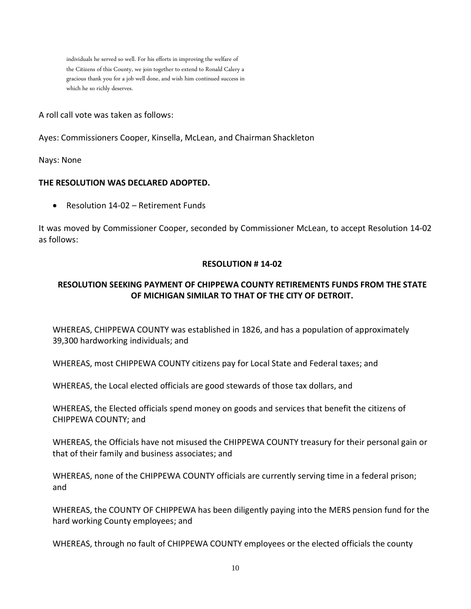individuals he served so well. For his efforts in improving the welfare of the Citizens of this County, we join together to extend to Ronald Calery a gracious thank you for a job well done, and wish him continued success in which he so richly deserves.

A roll call vote was taken as follows:

Ayes: Commissioners Cooper, Kinsella, McLean, and Chairman Shackleton

Nays: None

#### **THE RESOLUTION WAS DECLARED ADOPTED.**

• Resolution 14-02 – Retirement Funds

It was moved by Commissioner Cooper, seconded by Commissioner McLean, to accept Resolution 14-02 as follows:

#### **RESOLUTION # 14-02**

## **RESOLUTION SEEKING PAYMENT OF CHIPPEWA COUNTY RETIREMENTS FUNDS FROM THE STATE OF MICHIGAN SIMILAR TO THAT OF THE CITY OF DETROIT.**

WHEREAS, CHIPPEWA COUNTY was established in 1826, and has a population of approximately 39,300 hardworking individuals; and

WHEREAS, most CHIPPEWA COUNTY citizens pay for Local State and Federal taxes; and

WHEREAS, the Local elected officials are good stewards of those tax dollars, and

WHEREAS, the Elected officials spend money on goods and services that benefit the citizens of CHIPPEWA COUNTY; and

WHEREAS, the Officials have not misused the CHIPPEWA COUNTY treasury for their personal gain or that of their family and business associates; and

WHEREAS, none of the CHIPPEWA COUNTY officials are currently serving time in a federal prison; and

WHEREAS, the COUNTY OF CHIPPEWA has been diligently paying into the MERS pension fund for the hard working County employees; and

WHEREAS, through no fault of CHIPPEWA COUNTY employees or the elected officials the county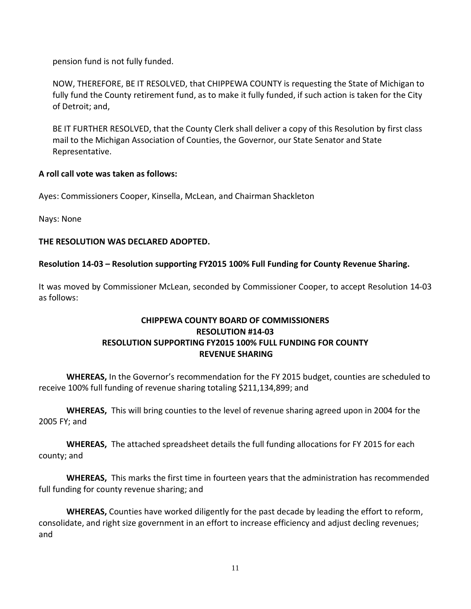pension fund is not fully funded.

NOW, THEREFORE, BE IT RESOLVED, that CHIPPEWA COUNTY is requesting the State of Michigan to fully fund the County retirement fund, as to make it fully funded, if such action is taken for the City of Detroit; and,

BE IT FURTHER RESOLVED, that the County Clerk shall deliver a copy of this Resolution by first class mail to the Michigan Association of Counties, the Governor, our State Senator and State Representative.

### **A roll call vote was taken as follows:**

Ayes: Commissioners Cooper, Kinsella, McLean, and Chairman Shackleton

Nays: None

### **THE RESOLUTION WAS DECLARED ADOPTED.**

### **Resolution 14-03 – Resolution supporting FY2015 100% Full Funding for County Revenue Sharing.**

It was moved by Commissioner McLean, seconded by Commissioner Cooper, to accept Resolution 14-03 as follows:

## **CHIPPEWA COUNTY BOARD OF COMMISSIONERS RESOLUTION #14-03 RESOLUTION SUPPORTING FY2015 100% FULL FUNDING FOR COUNTY REVENUE SHARING**

**WHEREAS,** In the Governor's recommendation for the FY 2015 budget, counties are scheduled to receive 100% full funding of revenue sharing totaling \$211,134,899; and

**WHEREAS,** This will bring counties to the level of revenue sharing agreed upon in 2004 for the 2005 FY; and

**WHEREAS,** The attached spreadsheet details the full funding allocations for FY 2015 for each county; and

**WHEREAS,** This marks the first time in fourteen years that the administration has recommended full funding for county revenue sharing; and

**WHEREAS,** Counties have worked diligently for the past decade by leading the effort to reform, consolidate, and right size government in an effort to increase efficiency and adjust decling revenues; and